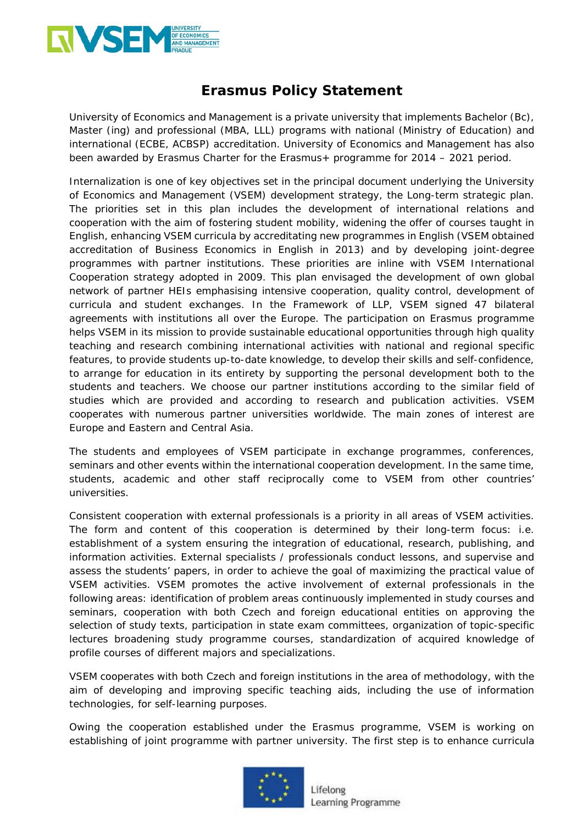

## **Erasmus Policy Statement**

University of Economics and Management is a private university that implements Bachelor (Bc), Master (ing) and professional (MBA, LLL) programs with national (Ministry of Education) and international (ECBE, ACBSP) accreditation. University of Economics and Management has also been awarded by Erasmus Charter for the Erasmus+ programme for 2014 – 2021 period.

Internalization is one of key objectives set in the principal document underlying the University of Economics and Management (VSEM) development strategy, the Long-term strategic plan. The priorities set in this plan includes the development of international relations and cooperation with the aim of fostering student mobility, widening the offer of courses taught in English, enhancing VSEM curricula by accreditating new programmes in English (VSEM obtained accreditation of Business Economics in English in 2013) and by developing joint-degree programmes with partner institutions. These priorities are inline with VSEM International Cooperation strategy adopted in 2009. This plan envisaged the development of own global network of partner HEIs emphasising intensive cooperation, quality control, development of curricula and student exchanges. In the Framework of LLP, VSEM signed 47 bilateral agreements with institutions all over the Europe. The participation on Erasmus programme helps VSEM in its mission to provide sustainable educational opportunities through high quality teaching and research combining international activities with national and regional specific features, to provide students up-to-date knowledge, to develop their skills and self-confidence, to arrange for education in its entirety by supporting the personal development both to the students and teachers. We choose our partner institutions according to the similar field of studies which are provided and according to research and publication activities. VSEM cooperates with numerous partner universities worldwide. The main zones of interest are Europe and Eastern and Central Asia.

The students and employees of VSEM participate in exchange programmes, conferences, seminars and other events within the international cooperation development. In the same time, students, academic and other staff reciprocally come to VSEM from other countries' universities.

Consistent cooperation with external professionals is a priority in all areas of VSEM activities. The form and content of this cooperation is determined by their long-term focus: i.e. establishment of a system ensuring the integration of educational, research, publishing, and information activities. External specialists / professionals conduct lessons, and supervise and assess the students' papers, in order to achieve the goal of maximizing the practical value of VSEM activities. VSEM promotes the active involvement of external professionals in the following areas: identification of problem areas continuously implemented in study courses and seminars, cooperation with both Czech and foreign educational entities on approving the selection of study texts, participation in state exam committees, organization of topic-specific lectures broadening study programme courses, standardization of acquired knowledge of profile courses of different majors and specializations.

VSEM cooperates with both Czech and foreign institutions in the area of methodology, with the aim of developing and improving specific teaching aids, including the use of information technologies, for self-learning purposes.

Owing the cooperation established under the Erasmus programme, VSEM is working on establishing of joint programme with partner university. The first step is to enhance curricula